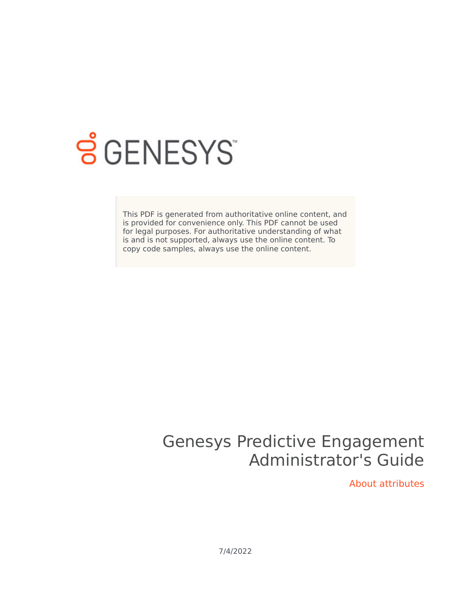

# **SGENESYS**

This PDF is generated from authoritative online content, and is provided for convenience only. This PDF cannot be used for legal purposes. For authoritative understanding of what is and is not supported, always use the online content. To copy code samples, always use the online content.

# Genesys Predictive Engagement Administrator's Guide

About attributes

7/4/2022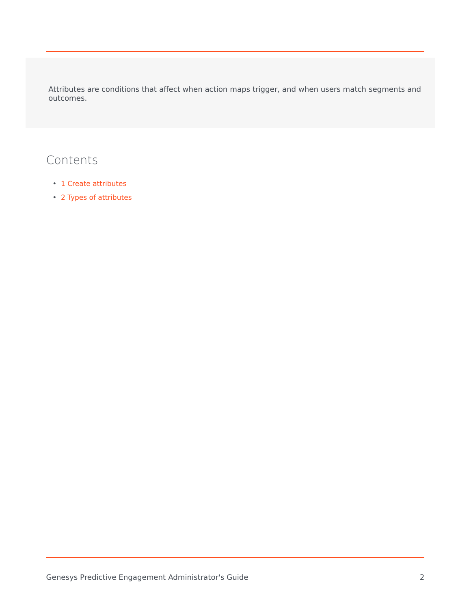Attributes are conditions that affect when action maps trigger, and when users match segments and outcomes.

## Contents

- 1 [Create attributes](#page-2-0)
- 2 [Types of attributes](#page-2-1)